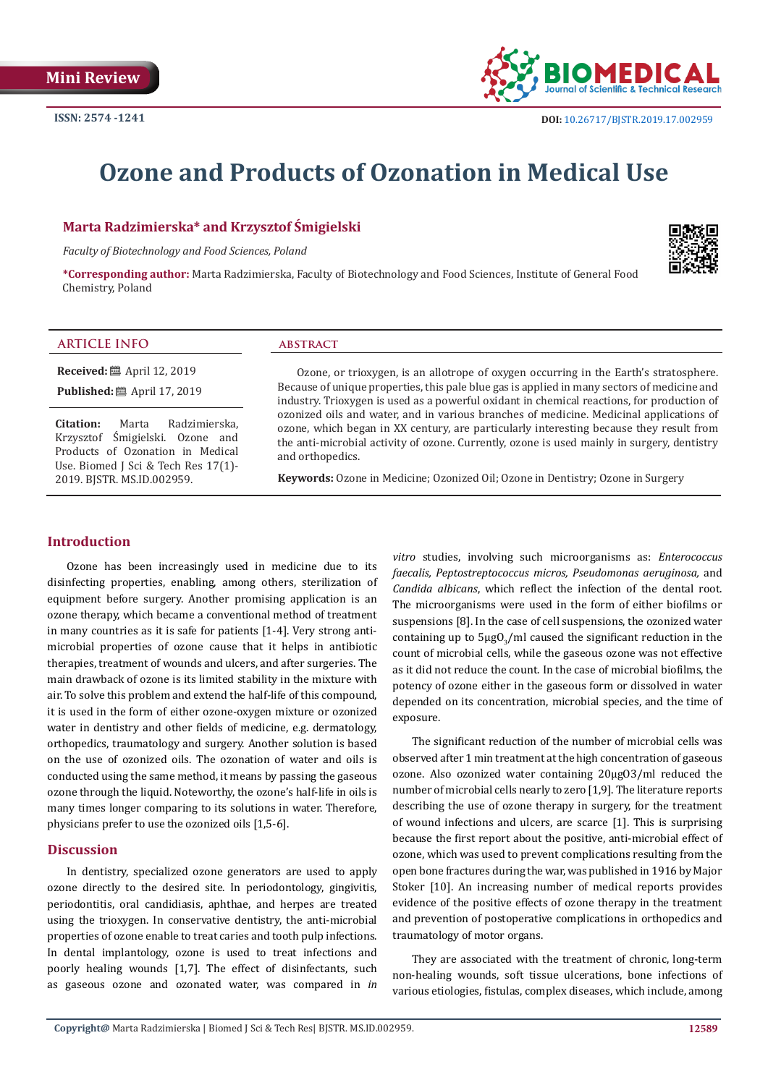

# **Ozone and Products of Ozonation in Medical Use**

### **Marta Radzimierska\* and Krzysztof Śmigielski**

*Faculty of Biotechnology and Food Sciences, Poland*

**\*Corresponding author:** Marta Radzimierska, Faculty of Biotechnology and Food Sciences, Institute of General Food Chemistry, Poland



# **ARTICLE INFO abstract**

**Received:** ■ April 12, 2019 **Published:** ■ April 17, 2019

2019. BJSTR. MS.ID.002959.

**Citation:** Marta Radzimierska, Krzysztof Śmigielski. Ozone and Products of Ozonation in Medical Use. Biomed J Sci & Tech Res 17(1)-

Ozone, or trioxygen, is an allotrope of oxygen occurring in the Earth's stratosphere. Because of unique properties, this pale blue gas is applied in many sectors of medicine and industry. Trioxygen is used as a powerful oxidant in chemical reactions, for production of ozonized oils and water, and in various branches of medicine. Medicinal applications of ozone, which began in XX century, are particularly interesting because they result from the anti-microbial activity of ozone. Currently, ozone is used mainly in surgery, dentistry and orthopedics.

**Keywords:** Ozone in Medicine; Ozonized Oil; Ozone in Dentistry; Ozone in Surgery

#### **Introduction**

Ozone has been increasingly used in medicine due to its disinfecting properties, enabling, among others, sterilization of equipment before surgery. Another promising application is an ozone therapy, which became a conventional method of treatment in many countries as it is safe for patients [1-4]. Very strong antimicrobial properties of ozone cause that it helps in antibiotic therapies, treatment of wounds and ulcers, and after surgeries. The main drawback of ozone is its limited stability in the mixture with air. To solve this problem and extend the half-life of this compound, it is used in the form of either ozone-oxygen mixture or ozonized water in dentistry and other fields of medicine, e.g. dermatology, orthopedics, traumatology and surgery. Another solution is based on the use of ozonized oils. The ozonation of water and oils is conducted using the same method, it means by passing the gaseous ozone through the liquid. Noteworthy, the ozone's half-life in oils is many times longer comparing to its solutions in water. Therefore, physicians prefer to use the ozonized oils [1,5-6].

#### **Discussion**

In dentistry, specialized ozone generators are used to apply ozone directly to the desired site. In periodontology, gingivitis, periodontitis, oral candidiasis, aphthae, and herpes are treated using the trioxygen. In conservative dentistry, the anti-microbial properties of ozone enable to treat caries and tooth pulp infections. In dental implantology, ozone is used to treat infections and poorly healing wounds [1,7]. The effect of disinfectants, such as gaseous ozone and ozonated water, was compared in *in*  *vitro* studies, involving such microorganisms as: *Enterococcus faecalis, Peptostreptococcus micros, Pseudomonas aeruginosa,* and *Candida albicans*, which reflect the infection of the dental root. The microorganisms were used in the form of either biofilms or suspensions [8]. In the case of cell suspensions, the ozonized water containing up to  $\frac{1}{3}$ /ml caused the significant reduction in the count of microbial cells, while the gaseous ozone was not effective as it did not reduce the count. In the case of microbial biofilms, the potency of ozone either in the gaseous form or dissolved in water depended on its concentration, microbial species, and the time of exposure.

The significant reduction of the number of microbial cells was observed after 1 min treatment at the high concentration of gaseous ozone. Also ozonized water containing 20µgO3/ml reduced the number of microbial cells nearly to zero [1,9]. The literature reports describing the use of ozone therapy in surgery, for the treatment of wound infections and ulcers, are scarce [1]. This is surprising because the first report about the positive, anti-microbial effect of ozone, which was used to prevent complications resulting from the open bone fractures during the war, was published in 1916 by Major Stoker [10]. An increasing number of medical reports provides evidence of the positive effects of ozone therapy in the treatment and prevention of postoperative complications in orthopedics and traumatology of motor organs.

They are associated with the treatment of chronic, long-term non-healing wounds, soft tissue ulcerations, bone infections of various etiologies, fistulas, complex diseases, which include, among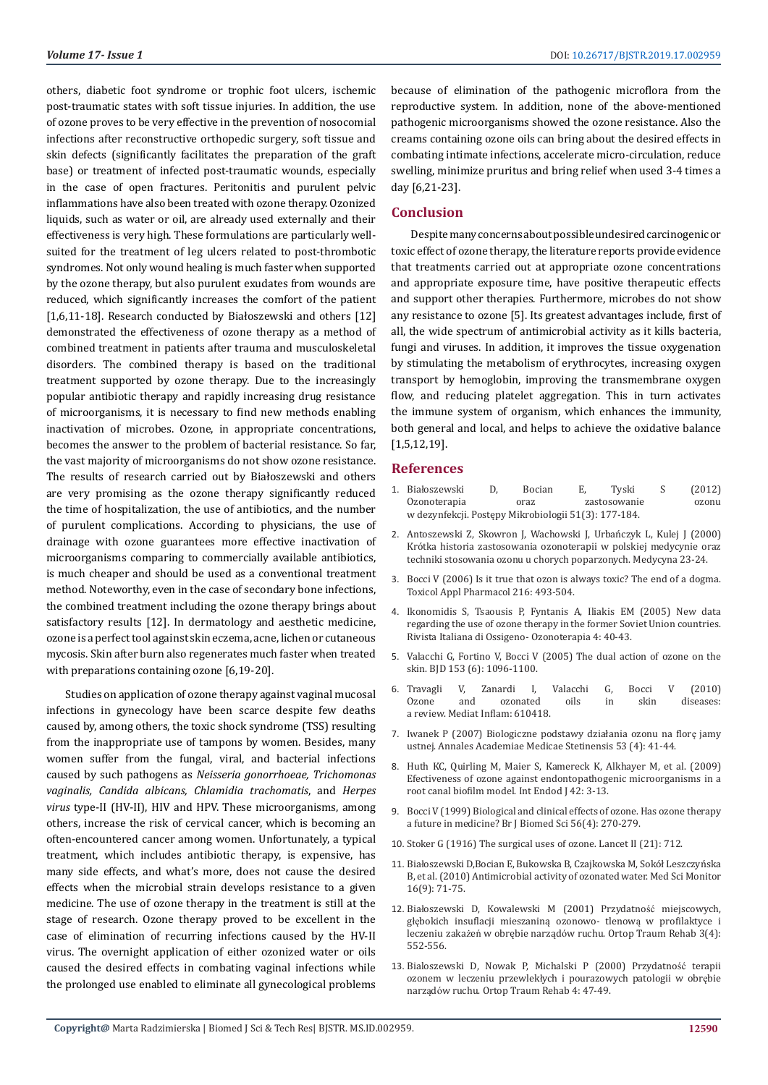others, diabetic foot syndrome or trophic foot ulcers, ischemic post-traumatic states with soft tissue injuries. In addition, the use of ozone proves to be very effective in the prevention of nosocomial infections after reconstructive orthopedic surgery, soft tissue and skin defects (significantly facilitates the preparation of the graft base) or treatment of infected post-traumatic wounds, especially in the case of open fractures. Peritonitis and purulent pelvic inflammations have also been treated with ozone therapy. Ozonized liquids, such as water or oil, are already used externally and their effectiveness is very high. These formulations are particularly wellsuited for the treatment of leg ulcers related to post-thrombotic syndromes. Not only wound healing is much faster when supported by the ozone therapy, but also purulent exudates from wounds are reduced, which significantly increases the comfort of the patient [1,6,11-18]. Research conducted by Białoszewski and others [12] demonstrated the effectiveness of ozone therapy as a method of combined treatment in patients after trauma and musculoskeletal disorders. The combined therapy is based on the traditional treatment supported by ozone therapy. Due to the increasingly popular antibiotic therapy and rapidly increasing drug resistance of microorganisms, it is necessary to find new methods enabling inactivation of microbes. Ozone, in appropriate concentrations, becomes the answer to the problem of bacterial resistance. So far, the vast majority of microorganisms do not show ozone resistance. The results of research carried out by Białoszewski and others are very promising as the ozone therapy significantly reduced the time of hospitalization, the use of antibiotics, and the number of purulent complications. According to physicians, the use of drainage with ozone guarantees more effective inactivation of microorganisms comparing to commercially available antibiotics, is much cheaper and should be used as a conventional treatment method. Noteworthy, even in the case of secondary bone infections, the combined treatment including the ozone therapy brings about satisfactory results [12]. In dermatology and aesthetic medicine, ozone is a perfect tool against skin eczema, acne, lichen or cutaneous mycosis. Skin after burn also regenerates much faster when treated with preparations containing ozone [6,19-20].

Studies on application of ozone therapy against vaginal mucosal infections in gynecology have been scarce despite few deaths caused by, among others, the toxic shock syndrome (TSS) resulting from the inappropriate use of tampons by women. Besides, many women suffer from the fungal, viral, and bacterial infections caused by such pathogens as *Neisseria gonorrhoeae, Trichomonas vaginalis, Candida albicans, Chlamidia trachomatis*, and *Herpes virus* type-II (HV-II), HIV and HPV. These microorganisms, among others, increase the risk of cervical cancer, which is becoming an often-encountered cancer among women. Unfortunately, a typical treatment, which includes antibiotic therapy, is expensive, has many side effects, and what's more, does not cause the desired effects when the microbial strain develops resistance to a given medicine. The use of ozone therapy in the treatment is still at the stage of research. Ozone therapy proved to be excellent in the case of elimination of recurring infections caused by the HV-II virus. The overnight application of either ozonized water or oils caused the desired effects in combating vaginal infections while the prolonged use enabled to eliminate all gynecological problems

because of elimination of the pathogenic microflora from the reproductive system. In addition, none of the above-mentioned pathogenic microorganisms showed the ozone resistance. Also the creams containing ozone oils can bring about the desired effects in combating intimate infections, accelerate micro-circulation, reduce swelling, minimize pruritus and bring relief when used 3-4 times a day [6,21-23].

#### **Conclusion**

Despite many concerns about possible undesired carcinogenic or toxic effect of ozone therapy, the literature reports provide evidence that treatments carried out at appropriate ozone concentrations and appropriate exposure time, have positive therapeutic effects and support other therapies. Furthermore, microbes do not show any resistance to ozone [5]. Its greatest advantages include, first of all, the wide spectrum of antimicrobial activity as it kills bacteria, fungi and viruses. In addition, it improves the tissue oxygenation by stimulating the metabolism of erythrocytes, increasing oxygen transport by hemoglobin, improving the transmembrane oxygen flow, and reducing platelet aggregation. This in turn activates the immune system of organism, which enhances the immunity, both general and local, and helps to achieve the oxidative balance [1,5,12,19].

#### **References**

- 1. Biał[oszewski D, Bocian E, Tyski S \(2012\)](http://www.pm.microbiology.pl/web/archiwum/vol5132012177.pdf) [Ozonoterapia oraz zastosowanie ozonu](http://www.pm.microbiology.pl/web/archiwum/vol5132012177.pdf) [w dezynfekcji. Postępy Mikrobiologii 51\(3\): 177-184.](http://www.pm.microbiology.pl/web/archiwum/vol5132012177.pdf)
- 2. Antoszewski Z, Skowron J, Wachowski J, Urbańczyk L, Kulej J (2000) Krótka historia zastosowania ozonoterapii w polskiej medycynie oraz techniki stosowania ozonu u chorych poparzonych. Medycyna 23-24.
- 3. [Bocci V \(2006\) Is it true that ozon is always toxic? The end of a dogma.](https://www.ncbi.nlm.nih.gov/pubmed/16890971) [Toxicol Appl Pharmacol 216: 493-504.](https://www.ncbi.nlm.nih.gov/pubmed/16890971)
- 4. [Ikonomidis S, Tsaousis P, Fyntanis A, Iliakis EM \(2005\) New data](https://www.researchgate.net/publication/298685377_New_data_regarding_the_use_of_oxidative_stress_Ozone_therapy_in_the_former_Soviet_Union_countries) [regarding the use of ozone therapy in the former Soviet Union countries.](https://www.researchgate.net/publication/298685377_New_data_regarding_the_use_of_oxidative_stress_Ozone_therapy_in_the_former_Soviet_Union_countries) [Rivista Italiana di Ossigeno- Ozonoterapia 4: 40-43.](https://www.researchgate.net/publication/298685377_New_data_regarding_the_use_of_oxidative_stress_Ozone_therapy_in_the_former_Soviet_Union_countries)
- 5. [Valacchi G, Fortino V, Bocci V \(2005\) The dual action of ozone on the](https://www.ncbi.nlm.nih.gov/pubmed/16307642) [skin. BJD 153 \(6\): 1096-1100.](https://www.ncbi.nlm.nih.gov/pubmed/16307642)
- 6. [Travagli V, Zanardi I, Valacchi G, Bocci V \(2010\)](https://www.hindawi.com/journals/mi/2010/610418/) [Ozone and ozonated oils in skin diseases:](https://www.hindawi.com/journals/mi/2010/610418/) [a review. Mediat Inflam: 610418.](https://www.hindawi.com/journals/mi/2010/610418/)
- 7. [Iwanek P \(2007\) Biologiczne podstawy działania ozonu na flor](https://equadent.pl/pdf_eq/Ozonymed_Badania_Suplement_1.pdf)ę jamy [ustnej. Annales Academiae Medicae Stetinensis 53 \(4\): 41-44.](https://equadent.pl/pdf_eq/Ozonymed_Badania_Suplement_1.pdf)
- 8. [Huth KC, Quirling M, Maier S, Kamereck K, Alkhayer M, et al. \(2009\)](https://www.ncbi.nlm.nih.gov/pubmed/19125975) [Efectiveness of ozone against endontopathogenic microorganisms in a](https://www.ncbi.nlm.nih.gov/pubmed/19125975) [root canal biofilm model.](https://www.ncbi.nlm.nih.gov/pubmed/19125975) Int Endod J 42: 3-13.
- 9. [Bocci V \(1999\) Biological and clinical effects of ozone. Has ozone therapy](https://www.ncbi.nlm.nih.gov/pubmed/10795372) a future in medicine? [Br J Biomed Sci 56\(4\): 270-279.](https://www.ncbi.nlm.nih.gov/pubmed/10795372)
- 10. [Stoker G \(1916\) The surgical uses of ozone](https://www.thelancet.com/journals/lancet/article/PIIS0140-6736(01)31717-8/fulltext)*.* Lancet II (21): 712.
- 11. Biał[oszewski D,Bocian E, Bukowska B, Czajkowska M, Sokół Leszczyńska](https://www.ncbi.nlm.nih.gov/pubmed/20802424) [B, et al. \(2010\) Antimicrobial activity of ozonated water.](https://www.ncbi.nlm.nih.gov/pubmed/20802424) Med Sci Monitor [16\(9\): 71-75.](https://www.ncbi.nlm.nih.gov/pubmed/20802424)
- 12. Biał[oszewski D, Kowalewski M \(2001\) Przydatno](http://ozonella.pl/wp-content/uploads/2015/02/Dr-Bia%C5%82oszewski_ozonoterapia-przydatnosc.pdf)ść miejscowych, głę[bokich insuflacji mieszaniną ozonowo- tlenow](http://ozonella.pl/wp-content/uploads/2015/02/Dr-Bia%C5%82oszewski_ozonoterapia-przydatnosc.pdf)ą w profilaktyce i leczeniu zakażeń w obrębie narządó[w ruchu. Ortop Traum Rehab 3\(4\):](http://ozonella.pl/wp-content/uploads/2015/02/Dr-Bia%C5%82oszewski_ozonoterapia-przydatnosc.pdf) [552-556.](http://ozonella.pl/wp-content/uploads/2015/02/Dr-Bia%C5%82oszewski_ozonoterapia-przydatnosc.pdf)
- 13. [Bialoszewski D, Nowak P, Michalski P \(2000\) Przydatno](http://www.centrumleczeniaran.pl/wp-content/uploads/2015/07/Dr-Bia%C5%82oszewski_ozonoterapia.pdf)ść terapii ozonem w leczeniu przewlekł[ych i pourazowych patologii w obr](http://www.centrumleczeniaran.pl/wp-content/uploads/2015/07/Dr-Bia%C5%82oszewski_ozonoterapia.pdf)ębie narządó[w ruchu. Ortop Traum Rehab 4: 47-49.](http://www.centrumleczeniaran.pl/wp-content/uploads/2015/07/Dr-Bia%C5%82oszewski_ozonoterapia.pdf)